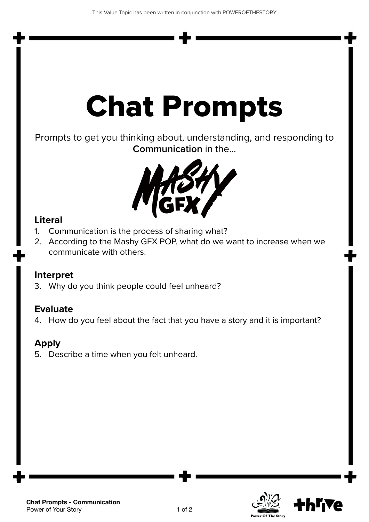# Chat Prompts

Prompts to get you thinking about, understanding, and responding to **Communication** in the...



#### **Literal**

- 1. Communication is the process of sharing what?
- 2. According to the Mashy GFX POP, what do we want to increase when we communicate with others.

### **Interpret**

3. Why do you think people could feel unheard?

### **Evaluate**

4. How do you feel about the fact that you have a story and it is important?

### **Apply**

5. Describe a time when you felt unheard.